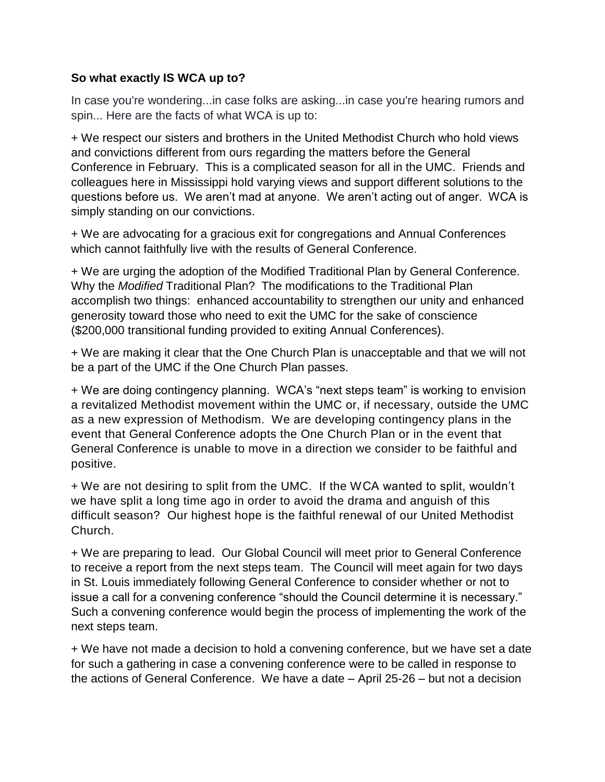## **So what exactly IS WCA up to?**

In case you're wondering...in case folks are asking...in case you're hearing rumors and spin... Here are the facts of what WCA is up to:

+ We respect our sisters and brothers in the United Methodist Church who hold views and convictions different from ours regarding the matters before the General Conference in February. This is a complicated season for all in the UMC. Friends and colleagues here in Mississippi hold varying views and support different solutions to the questions before us. We aren't mad at anyone. We aren't acting out of anger. WCA is simply standing on our convictions.

+ We are advocating for a gracious exit for congregations and Annual Conferences which cannot faithfully live with the results of General Conference.

+ We are urging the adoption of the Modified Traditional Plan by General Conference. Why the *Modified* Traditional Plan? The modifications to the Traditional Plan accomplish two things: enhanced accountability to strengthen our unity and enhanced generosity toward those who need to exit the UMC for the sake of conscience (\$200,000 transitional funding provided to exiting Annual Conferences).

+ We are making it clear that the One Church Plan is unacceptable and that we will not be a part of the UMC if the One Church Plan passes.

+ We are doing contingency planning. WCA's "next steps team" is working to envision a revitalized Methodist movement within the UMC or, if necessary, outside the UMC as a new expression of Methodism. We are developing contingency plans in the event that General Conference adopts the One Church Plan or in the event that General Conference is unable to move in a direction we consider to be faithful and positive.

+ We are not desiring to split from the UMC. If the WCA wanted to split, wouldn't we have split a long time ago in order to avoid the drama and anguish of this difficult season? Our highest hope is the faithful renewal of our United Methodist Church.

+ We are preparing to lead. Our Global Council will meet prior to General Conference to receive a report from the next steps team. The Council will meet again for two days in St. Louis immediately following General Conference to consider whether or not to issue a call for a convening conference "should the Council determine it is necessary." Such a convening conference would begin the process of implementing the work of the next steps team.

+ We have not made a decision to hold a convening conference, but we have set a date for such a gathering in case a convening conference were to be called in response to the actions of General Conference. We have a date – April 25-26 – but not a decision